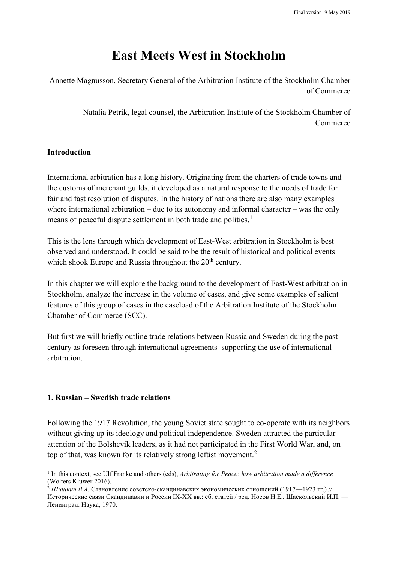# **East Meets West in Stockholm**

Annette Magnusson, Secretary General of the Arbitration Institute of the Stockholm Chamber of Commerce

> Natalia Petrik, legal counsel, the Arbitration Institute of the Stockholm Chamber of Commerce

#### **Introduction**

International arbitration has a long history. Originating from the charters of trade towns and the customs of merchant guilds, it developed as a natural response to the needs of trade for fair and fast resolution of disputes. In the history of nations there are also many examples where international arbitration  $-$  due to its autonomy and informal character  $-$  was the only means of peaceful dispute settlement in both trade and politics.<sup>[1](#page-0-0)</sup>

This is the lens through which development of East-West arbitration in Stockholm is best observed and understood. It could be said to be the result of historical and political events which shook Europe and Russia throughout the  $20<sup>th</sup>$  century.

In this chapter we will explore the background to the development of East-West arbitration in Stockholm, analyze the increase in the volume of cases, and give some examples of salient features of this group of cases in the caseload of the Arbitration Institute of the Stockholm Chamber of Commerce (SCC).

But first we will briefly outline trade relations between Russia and Sweden during the past century as foreseen through international agreements supporting the use of international arbitration.

#### **1. Russian – Swedish trade relations**

Following the 1917 Revolution, the young Soviet state sought to co-operate with its neighbors without giving up its ideology and political independence. Sweden attracted the particular attention of the Bolshevik leaders, as it had not participated in the First World War, and, on top of that, was known for its relatively strong leftist movement.<sup>[2](#page-0-1)</sup>

<span id="page-0-0"></span> <sup>1</sup> In this context, see Ulf Franke and others (eds), *Arbitrating for Peace: how arbitration made a difference* (Wolters Kluwer 2016).

<span id="page-0-1"></span><sup>2</sup> *Шишкин В.А.* Становление советско-скандинавских экономических отношений (1917—1923 гг.) // Исторические связи Скандинавии и России IX-XX вв.: сб. статей / ред. Носов Н.Е., Шаскольский И.П. — Ленинград: Наука, 1970.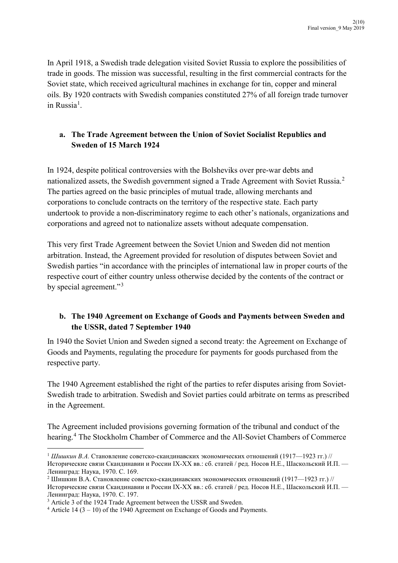In April 1918, a Swedish trade delegation visited Soviet Russia to explore the possibilities of trade in goods. The mission was successful, resulting in the first commercial contracts for the Soviet state, which received agricultural machines in exchange for tin, copper and mineral oils. By 1920 contracts with Swedish companies constituted 27% of all foreign trade turnover in Russia<sup>[1](#page-1-0)</sup>.

# **a. The Trade Agreement between the Union of Soviet Socialist Republics and Sweden of 15 March 1924**

In 1924, despite political controversies with the Bolsheviks over pre-war debts and nationalized assets, the Swedish government signed a Trade Agreement with Soviet Russia.[2](#page-1-1) The parties agreed on the basic principles of mutual trade, allowing merchants and corporations to conclude contracts on the territory of the respective state. Each party undertook to provide a non-discriminatory regime to each other's nationals, organizations and corporations and agreed not to nationalize assets without adequate compensation.

This very first Trade Agreement between the Soviet Union and Sweden did not mention arbitration. Instead, the Agreement provided for resolution of disputes between Soviet and Swedish parties "in accordance with the principles of international law in proper courts of the respective court of either country unless otherwise decided by the contents of the contract or by special agreement."<sup>[3](#page-1-2)</sup>

# **b. The 1940 Agreement on Exchange of Goods and Payments between Sweden and the USSR, dated 7 September 1940**

In 1940 the Soviet Union and Sweden signed a second treaty: the Agreement on Exchange of Goods and Payments, regulating the procedure for payments for goods purchased from the respective party.

The 1940 Agreement established the right of the parties to refer disputes arising from Soviet-Swedish trade to arbitration. Swedish and Soviet parties could arbitrate on terms as prescribed in the Agreement.

The Agreement included provisions governing formation of the tribunal and conduct of the hearing.[4](#page-1-3) The Stockholm Chamber of Commerce and the All-Soviet Chambers of Commerce

<span id="page-1-0"></span> <sup>1</sup> *Шишкин В.А.* Становление советско-скандинавских экономических отношений (1917—1923 гг.) // Исторические связи Скандинавии и России IX-XX вв.: сб. статей / ред. Носов Н.Е., Шаскольский И.П. — Ленинград: Наука, 1970. С. 169.<br><sup>2</sup> Шишкин В.А. Становление советско-скандинавских экономических отношений (1917—1923 гг.) //

<span id="page-1-1"></span>Исторические связи Скандинавии и России IX-XX вв.: сб. статей / ред. Носов Н.Е., Шаскольский И.П. — Ленинград: Наука, 1970. С. 197.

<span id="page-1-2"></span><sup>&</sup>lt;sup>3</sup> Article 3 of the 1924 Trade Agreement between the USSR and Sweden.

<span id="page-1-3"></span><sup>4</sup> Article 14 (3 – 10) of the 1940 Agreement on Exchange of Goods and Payments.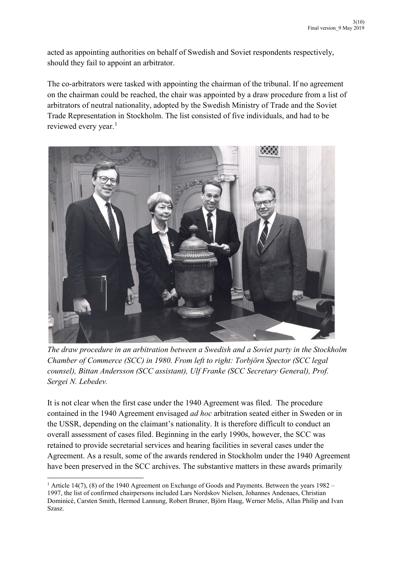acted as appointing authorities on behalf of Swedish and Soviet respondents respectively, should they fail to appoint an arbitrator.

The co-arbitrators were tasked with appointing the chairman of the tribunal. If no agreement on the chairman could be reached, the chair was appointed by a draw procedure from a list of arbitrators of neutral nationality, adopted by the Swedish Ministry of Trade and the Soviet Trade Representation in Stockholm. The list consisted of five individuals, and had to be reviewed every year. [1](#page-2-0)



*The draw procedure in an arbitration between a Swedish and a Soviet party in the Stockholm Chamber of Commerce (SCC) in 1980. From left to right: Torbjörn Spector (SCC legal counsel), Bittan Andersson (SCC assistant), Ulf Franke (SCC Secretary General), Prof. Sergei N. Lebedev.* 

It is not clear when the first case under the 1940 Agreement was filed. The procedure contained in the 1940 Agreement envisaged *ad hoc* arbitration seated either in Sweden or in the USSR, depending on the claimant's nationality. It is therefore difficult to conduct an overall assessment of cases filed. Beginning in the early 1990s, however, the SCC was retained to provide secretarial services and hearing facilities in several cases under the Agreement. As a result, some of the awards rendered in Stockholm under the 1940 Agreement have been preserved in the SCC archives. The substantive matters in these awards primarily

<span id="page-2-0"></span><sup>&</sup>lt;sup>1</sup> Article 14(7), (8) of the 1940 Agreement on Exchange of Goods and Payments. Between the years 1982 – 1997, the list of confirmed chairpersons included Lars Nordskov Nielsen, Johannes Andenaes, Christian Dominicé, Carsten Smith, Hermod Lannung, Robert Bruner, Björn Haug, Werner Melis, Allan Philip and Ivan Szasz.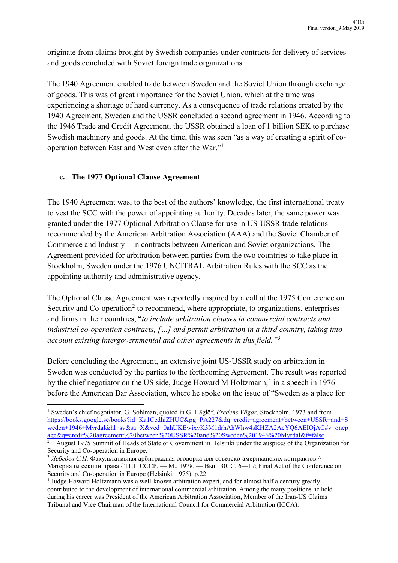originate from claims brought by Swedish companies under contracts for delivery of services and goods concluded with Soviet foreign trade organizations.

The 1940 Agreement enabled trade between Sweden and the Soviet Union through exchange of goods. This was of great importance for the Soviet Union, which at the time was experiencing a shortage of hard currency. As a consequence of trade relations created by the 1940 Agreement, Sweden and the USSR concluded a second agreement in 1946. According to the 1946 Trade and Credit Agreement, the USSR obtained a loan of 1 billion SEK to purchase Swedish machinery and goods. At the time, this was seen "as a way of creating a spirit of cooperation between East and West even after the War."[1](#page-3-0)

## **c. The 1977 Optional Clause Agreement**

The 1940 Agreement was, to the best of the authors' knowledge, the first international treaty to vest the SCC with the power of appointing authority. Decades later, the same power was granted under the 1977 Optional Arbitration Clause for use in US-USSR trade relations – recommended by the American Arbitration Association (AAA) and the Soviet Chamber of Commerce and Industry – in contracts between American and Soviet organizations. The Agreement provided for arbitration between parties from the two countries to take place in Stockholm, Sweden under the 1976 UNCITRAL Arbitration Rules with the SCC as the appointing authority and administrative agency.

The Optional Clause Agreement was reportedly inspired by a call at the 1975 Conference on Security and Co-operation<sup>[2](#page-3-1)</sup> to recommend, where appropriate, to organizations, enterprises and firms in their countries, "*to include arbitration clauses in commercial contracts and industrial co-operation contracts, […] and permit arbitration in a third country, taking into account existing intergovernmental and other agreements in this field."[3](#page-3-2)*

Before concluding the Agreement, an extensive joint US-USSR study on arbitration in Sweden was conducted by the parties to the forthcoming Agreement. The result was reported by the chief negotiator on the US side, Judge Howard M Holtzmann, $4$  in a speech in 1976 before the American Bar Association, where he spoke on the issue of "Sweden as a place for

<span id="page-3-0"></span> <sup>1</sup> Sweden's chief negotiator, G. Sohlman, quoted in G. Häglöf, *Fredens Vägar,* Stockholm, 1973 and from [https://books.google.se/books?id=Ka1CedhiZHUC&pg=PA227&dq=credit+agreement+between+USSR+and+S](https://books.google.se/books?id=Ka1CedhiZHUC&pg=PA227&dq=credit+agreement+between+USSR+and+Sweden+1946+Myrdal&hl=sv&sa=X&ved=0ahUKEwixvK3M1drhAhWhw4sKHZA2AcYQ6AEIOjAC#v=onepage&q=credit%20agreement%20between%20USSR%20and%20Sweden%201946%20Myrdal&f=false) [weden+1946+Myrdal&hl=sv&sa=X&ved=0ahUKEwixvK3M1drhAhWhw4sKHZA2AcYQ6AEIOjAC#v=onep](https://books.google.se/books?id=Ka1CedhiZHUC&pg=PA227&dq=credit+agreement+between+USSR+and+Sweden+1946+Myrdal&hl=sv&sa=X&ved=0ahUKEwixvK3M1drhAhWhw4sKHZA2AcYQ6AEIOjAC#v=onepage&q=credit%20agreement%20between%20USSR%20and%20Sweden%201946%20Myrdal&f=false) [age&q=credit%20agreement%20between%20USSR%20and%20Sweden%201946%20Myrdal&f=false](https://books.google.se/books?id=Ka1CedhiZHUC&pg=PA227&dq=credit+agreement+between+USSR+and+Sweden+1946+Myrdal&hl=sv&sa=X&ved=0ahUKEwixvK3M1drhAhWhw4sKHZA2AcYQ6AEIOjAC#v=onepage&q=credit%20agreement%20between%20USSR%20and%20Sweden%201946%20Myrdal&f=false)

<span id="page-3-1"></span><sup>&</sup>lt;sup>2</sup> 1 August 1975 Summit of Heads of State or Government in Helsinki under the auspices of the Organization for Security and Co-operation in Europe.

<span id="page-3-2"></span><sup>3</sup> *Лебедев С.Н.* Факультативная арбитражная оговорка для советско-американских контрактов // Материалы секции права / ТПП СССР. — М., 1978. — Вып. 30. С. 6—17; Final Act of the Conference on Security and Co-operation in Europе (Helsinki, 1975), p.22

<span id="page-3-3"></span><sup>4</sup> Judge Howard Holtzmann was a well-known arbitration expert, and for almost half a century greatly contributed to the development of international commercial arbitration. Among the many positions he held during his career was President of the American Arbitration Association, Member of the Iran-US Claims Tribunal and Vice Chairman of the International Council for Commercial Arbitration (ICCA).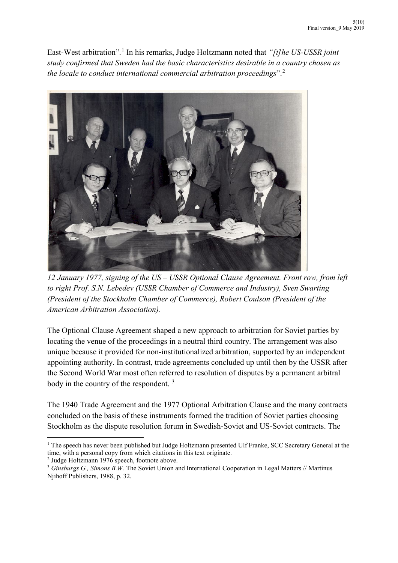East-West arbitration".[1](#page-4-0) In his remarks, Judge Holtzmann noted that *"[t]he US-USSR joint study confirmed that Sweden had the basic characteristics desirable in a country chosen as the locale to conduct international commercial arbitration proceedings*". [2](#page-4-1)



*12 January 1977, signing of the US – USSR Optional Clause Agreement. Front row, from left to right Prof. S.N. Lebedev (USSR Chamber of Commerce and Industry), Sven Swarting (President of the Stockholm Chamber of Commerce), Robert Coulson (President of the American Arbitration Association).* 

The Optional Clause Agreement shaped a new approach to arbitration for Soviet parties by locating the venue of the proceedings in a neutral third country. The arrangement was also unique because it provided for non-institutionalized arbitration, supported by an independent appointing authority. In contrast, trade agreements concluded up until then by the USSR after the Second World War most often referred to resolution of disputes by a permanent arbitral body in the country of the respondent.<sup>[3](#page-4-2)</sup>

The 1940 Trade Agreement and the 1977 Optional Arbitration Clause and the many contracts concluded on the basis of these instruments formed the tradition of Soviet parties choosing Stockholm as the dispute resolution forum in Swedish-Soviet and US-Soviet contracts. The

<span id="page-4-0"></span><sup>&</sup>lt;sup>1</sup> The speech has never been published but Judge Holtzmann presented Ulf Franke, SCC Secretary General at the time, with a personal copy from which citations in this text originate.<br>
<sup>2</sup> Judge Holtzmann 1976 speech, footnote above.<br>
<sup>3</sup> Ginsburgs G., Simons B.W. The Soviet Union and International Cooperation in Legal Matters // M

<span id="page-4-1"></span>

<span id="page-4-2"></span>Njihoff Publishers, 1988, p. 32.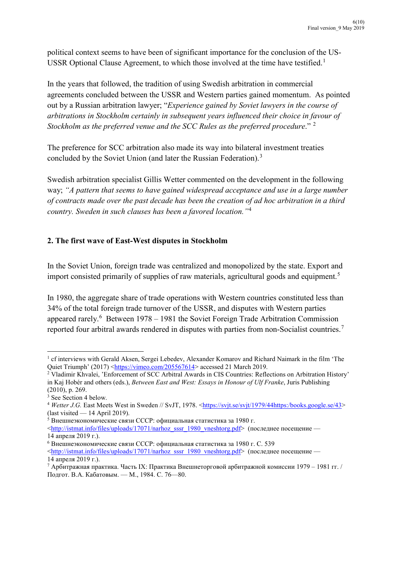political context seems to have been of significant importance for the conclusion of the US-USSR Optional Clause Agreement, to which those involved at the time have testified.<sup>[1](#page-5-0)</sup>

In the years that followed, the tradition of using Swedish arbitration in commercial agreements concluded between the USSR and Western parties gained momentum. As pointed out by a Russian arbitration lawyer; "*Experience gained by Soviet lawyers in the course of arbitrations in Stockholm certainly in subsequent years influenced their choice in favour of Stockholm as the preferred venue and the SCC Rules as the preferred procedure*." [2](#page-5-1)

The preference for SCC arbitration also made its way into bilateral investment treaties concluded by the Soviet Union (and later the Russian Federation).<sup>[3](#page-5-2)</sup>

Swedish arbitration specialist Gillis Wetter commented on the development in the following way; *"A pattern that seems to have gained widespread acceptance and use in a large number of contracts made over the past decade has been the creation of ad hoc arbitration in a third country. Sweden in such clauses has been a favored location."*[4](#page-5-3)

## **2. The first wave of East-West disputes in Stockholm**

In the Soviet Union, foreign trade was centralized and monopolized by the state. Export and import consisted primarily of supplies of raw materials, agricultural goods and equipment.<sup>[5](#page-5-4)</sup>

In 1980, the aggregate share of trade operations with Western countries constituted less than 34% of the total foreign trade turnover of the USSR, and disputes with Western parties appeared rarely.<sup>[6](#page-5-5)</sup> Between 1978 – 1981 the Soviet Foreign Trade Arbitration Commission reported four arbitral awards rendered in disputes with parties from non-Socialist countries.<sup>[7](#page-5-6)</sup>

<span id="page-5-0"></span> <sup>1</sup> cf interviews with Gerald Aksen, Sergei Lebedev, Alexander Komarov and Richard Naimark in the film 'The Quiet Triumph' (2017) [<https://vimeo.com/205567614](https://vimeo.com/205567614)> accessed 21 March 2019.

<span id="page-5-1"></span><sup>2</sup> Vladimir Khvalei, 'Enforcement of SCC Arbitral Awards in CIS Countries: Reflections on Arbitration History' in Kaj Hobér and others (eds.), *Between East and West: Essays in Honour of Ulf Franke*, Juris Publishing (2010), p. 269.

<span id="page-5-2"></span><sup>&</sup>lt;sup>3</sup> See Section 4 below.

<span id="page-5-3"></span><sup>&</sup>lt;sup>4</sup> Wetter J.G. East Meets West in Sweden // SvJT, 1978. <**https://svjt.se/svjt/1979/44https:/books.google.se/43</u>>** (last visited — 14 April 2019).

<span id="page-5-4"></span><sup>5</sup> Внешнеэкономические связи СССР: официальная статистика за 1980 г.

<sup>&</sup>lt;http://istmat.info/files/uploads/17071/[narhoz\\_sssr\\_1980\\_vneshtorg.pdf>](http://istmat.info/files/uploads/17071/narhoz_sssr_1980_vneshtorg.pdf) (последнее посещение — 14 апреля 2019 г.).

<span id="page-5-5"></span><sup>6</sup> Внешнеэкономические связи СССР: официальная статистика за 1980 г. С. 539

<sup>&</sup>lt;http://istmat.info/files/uploads/17071/[narhoz\\_sssr\\_1980\\_vneshtorg.pdf>](http://istmat.info/files/uploads/17071/narhoz_sssr_1980_vneshtorg.pdf) (последнее посещение — 14 апреля 2019 г.).

<span id="page-5-6"></span><sup>7</sup> Арбитражная практика. Часть IX: Практика Внешнеторговой арбитражной комиссии 1979 – 1981 гг. / Подгот. В.А. Кабатовым. — М., 1984. С. 76—80.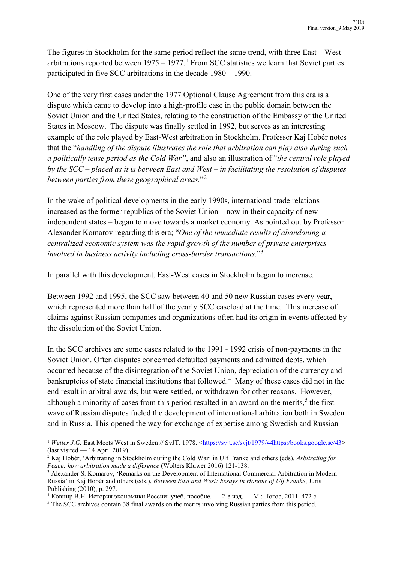The figures in Stockholm for the same period reflect the same trend, with three East – West arbitrations reported between  $1975 - 1977$  $1975 - 1977$ .<sup>1</sup> From SCC statistics we learn that Soviet parties participated in five SCC arbitrations in the decade 1980 – 1990.

One of the very first cases under the 1977 Optional Clause Agreement from this era is a dispute which came to develop into a high-profile case in the public domain between the Soviet Union and the United States, relating to the construction of the Embassy of the United States in Moscow. The dispute was finally settled in 1992, but serves as an interesting example of the role played by East-West arbitration in Stockholm. Professer Kaj Hobér notes that the "*handling of the dispute illustrates the role that arbitration can play also during such a politically tense period as the Cold War"*, and also an illustration of "*the central role played by the SCC – placed as it is between East and West – in facilitating the resolution of disputes between parties from these geographical areas.*"[2](#page-6-1)

In the wake of political developments in the early 1990s, international trade relations increased as the former republics of the Soviet Union – now in their capacity of new independent states – began to move towards a market economy. As pointed out by Professor Alexander Komarov regarding this era; "*One of the immediate results of abandoning a centralized economic system was the rapid growth of the number of private enterprises involved in business activity including cross-border transactions*."[3](#page-6-2)

In parallel with this development, East-West cases in Stockholm began to increase.

Between 1992 and 1995, the SCC saw between 40 and 50 new Russian cases every year, which represented more than half of the yearly SCC caseload at the time. This increase of claims against Russian companies and organizations often had its origin in events affected by the dissolution of the Soviet Union.

In the SCC archives are some cases related to the 1991 - 1992 crisis of non-payments in the Soviet Union. Often disputes concerned defaulted payments and admitted debts, which occurred because of the disintegration of the Soviet Union, depreciation of the currency and bankruptcies of state financial institutions that followed. [4](#page-6-3) Many of these cases did not in the end result in arbitral awards, but were settled, or withdrawn for other reasons. However, although a minority of cases from this period resulted in an award on the merits,<sup>[5](#page-6-4)</sup> the first wave of Russian disputes fueled the development of international arbitration both in Sweden and in Russia. This opened the way for exchange of expertise among Swedish and Russian

<span id="page-6-0"></span><sup>&</sup>lt;sup>1</sup> *Wetter J.G.* East Meets West in Sweden // SvJT. 1978. [<https://svjt.se/svjt/1979/44https:/books.google.se/43](https://svjt.se/svjt/1979/44https:/books.google.se/43)> (last visited — 14 April 2019).

<span id="page-6-1"></span><sup>2</sup> Kaj Hobér, 'Arbitrating in Stockholm during the Cold War' in Ulf Franke and others (eds), *Arbitrating for Peace: how arbitration made a difference* (Wolters Kluwer 2016) 121-138.

<span id="page-6-2"></span><sup>&</sup>lt;sup>3</sup> Alexander S. Komarov, 'Remarks on the Development of International Commercial Arbitration in Modern Russia' in Kaj Hobér and others (eds.), *Between East and West: Essays in Honour of Ulf Franke*, Juris Publishing (2010), р. 297.<br><sup>4</sup> Ковнир В.Н. История экономики России: учеб. пособие. — 2-е изд. — М.: Логос, 2011. 472 с.

<span id="page-6-3"></span>

<span id="page-6-4"></span><sup>&</sup>lt;sup>5</sup> The SCC archives contain 38 final awards on the merits involving Russian parties from this period.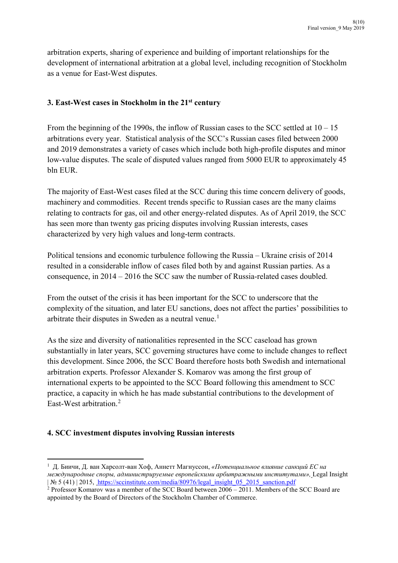arbitration experts, sharing of experience and building of important relationships for the development of international arbitration at a global level, including recognition of Stockholm as a venue for East-West disputes.

## **3. East-West cases in Stockholm in the 21st century**

From the beginning of the 1990s, the inflow of Russian cases to the SCC settled at  $10 - 15$ arbitrations every year. Statistical analysis of the SCC's Russian cases filed between 2000 and 2019 demonstrates a variety of cases which include both high-profile disputes and minor low-value disputes. The scale of disputed values ranged from 5000 EUR to approximately 45 bln EUR.

The majority of East-West cases filed at the SCC during this time concern delivery of goods, machinery and commodities. Recent trends specific to Russian cases are the many claims relating to contracts for gas, oil and other energy-related disputes. As of April 2019, the SCC has seen more than twenty gas pricing disputes involving Russian interests, cases characterized by very high values and long-term contracts.

Political tensions and economic turbulence following the Russia – Ukraine crisis of 2014 resulted in a considerable inflow of cases filed both by and against Russian parties. As a consequence, in 2014 – 2016 the SCC saw the number of Russia-related cases doubled.

From the outset of the crisis it has been important for the SCC to underscore that the complexity of the situation, and later EU sanctions, does not affect the parties' possibilities to arbitrate their disputes in Sweden as a neutral venue.<sup>[1](#page-7-0)</sup>

As the size and diversity of nationalities represented in the SCC caseload has grown substantially in later years, SCC governing structures have come to include changes to reflect this development. Since 2006, the SCC Board therefore hosts both Swedish and international arbitration experts. Professor Alexander S. Komarov was among the first group of international experts to be appointed to the SCC Board following this amendment to SCC practice, a capacity in which he has made substantial contributions to the development of East-West arbitration. [2](#page-7-1)

#### **4. SCC investment disputes involving Russian interests**

<span id="page-7-0"></span> $\frac{1}{1}$  Д. Биичи, Д. ван Харсолт-ван Хоф, Аннетт Магнуссон, *«Потенциальное влияние санкций ЕС на международные споры, администрируемые европейскими арбитражными институтами»,* Legal Insight | № 5 (41) | 2015, https://sccinstitute.com/media/80976/[legal\\_insight\\_05\\_2015\\_sanction.pdf](https://sccinstitute.com/media/80976/legal_insight_05_2015_sanction.pdf)

<span id="page-7-1"></span><sup>&</sup>lt;sup>2</sup> Professor Komarov was a member of the SCC Board between  $2006 - 2011$ . Members of the SCC Board are appointed by the Board of Directors of the Stockholm Chamber of Commerce.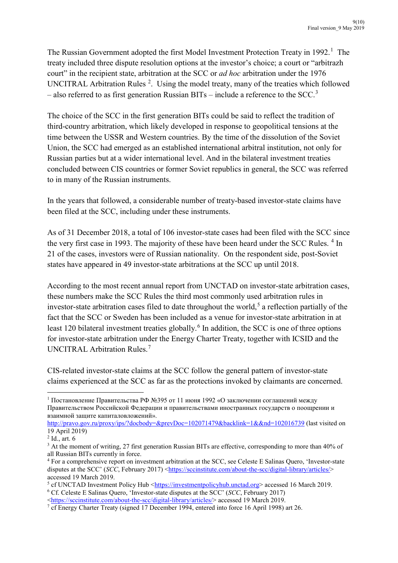The Russian Government adopted the first Model Investment Protection Treaty in [1](#page-8-0)992.<sup>1</sup> The treaty included three dispute resolution options at the investor's choice; a court or "arbitrazh court" in the recipient state, arbitration at the SCC or *ad hoc* arbitration under the 1976 UNCITRAL Arbitration Rules<sup>[2](#page-8-1)</sup>. Using the model treaty, many of the treaties which followed  $-$  also referred to as first generation Russian BITs  $-$  include a reference to the SCC.<sup>[3](#page-8-2)</sup>

The choice of the SCC in the first generation BITs could be said to reflect the tradition of third-country arbitration, which likely developed in response to geopolitical tensions at the time between the USSR and Western countries. By the time of the dissolution of the Soviet Union, the SCC had emerged as an established international arbitral institution, not only for Russian parties but at a wider international level. And in the bilateral investment treaties concluded between CIS countries or former Soviet republics in general, the SCC was referred to in many of the Russian instruments.

In the years that followed, a considerable number of treaty-based investor-state claims have been filed at the SCC, including under these instruments.

As of 31 December 2018, a total of 106 investor-state cases had been filed with the SCC since the very first case in 1993. The majority of these have been heard under the SCC Rules.<sup>[4](#page-8-3)</sup> In 21 of the cases, investors were of Russian nationality. On the respondent side, post-Soviet states have appeared in 49 investor-state arbitrations at the SCC up until 2018.

According to the most recent annual report from UNCTAD on investor-state arbitration cases, these numbers make the SCC Rules the third most commonly used arbitration rules in investor-state arbitration cases filed to date throughout the world,<sup>[5](#page-8-4)</sup> a reflection partially of the fact that the SCC or Sweden has been included as a venue for investor-state arbitration in at least 120 bilateral investment treaties globally.<sup>[6](#page-8-5)</sup> In addition, the SCC is one of three options for investor-state arbitration under the Energy Charter Treaty, together with ICSID and the UNCITRAL Arbitration Rules.[7](#page-8-6)

CIS-related investor-state claims at the SCC follow the general pattern of investor-state claims experienced at the SCC as far as the protections invoked by claimants are concerned.

<span id="page-8-0"></span><sup>&</sup>lt;sup>1</sup> Постановление Правительства РФ №395 от 11 июня 1992 «О заключении соглашений между Правительством Российской Федерации и правительствами иностранных государств о поощрении и взаимной защите капиталовложений».

<http://pravo.gov.ru/proxy/ips/?docbody=&prevDoc=102071479&backlink=1&&nd=102016739> (last visited on 19 April 2019)

<span id="page-8-1"></span> $2$  Id., art. 6

<span id="page-8-2"></span><sup>&</sup>lt;sup>3</sup> At the moment of writing, 27 first generation Russian BITs are effective, corresponding to more than 40% of all Russian BITs currently in force.

<span id="page-8-3"></span><sup>4</sup> For a comprehensive report on investment arbitration at the SCC, see Celeste E Salinas Quero, 'Investor-state disputes at the SCC' (*SCC*, February 2017) [<https://sccinstitute.com/about](https://sccinstitute.com/about-the-scc/digital-library/articles/)-the-scc/digital-library/articles/> accessed 19 March 2019.

<span id="page-8-5"></span><span id="page-8-4"></span> $5$  cf UNCTAD Investment Policy Hub [<https://investmentpolicyhub.unctad.org](https://investmentpolicyhub.unctad.org/)> accessed 16 March 2019. <sup>6</sup> Cf. Celeste E Salinas Quero, 'Investor-state disputes at the SCC' (*SCC*, February 2017)

[<sup>&</sup>lt;https://sccinstitute.com/about](https://sccinstitute.com/about-the-scc/digital-library/articles/)-the-scc/digital-library/articles/>accessed 19 March 2019.

<span id="page-8-6"></span><sup>&</sup>lt;sup>7</sup> cf Energy Charter Treaty (signed 17 December 1994, entered into force 16 April 1998) art 26.